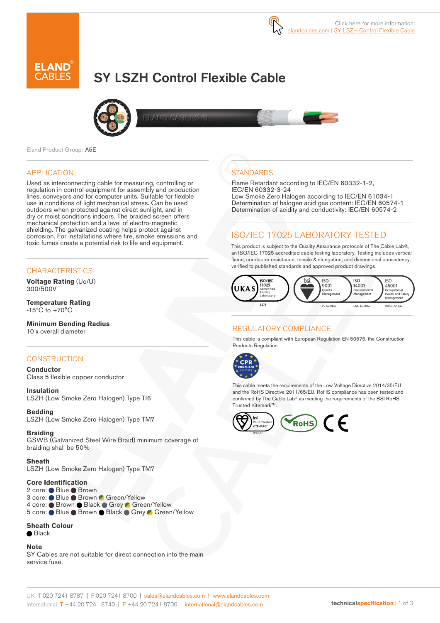

# SY LSZH Control Flexible Cable



Eland Product Group: A5E

### APPLICATION

Used as interconnecting cable for measuring, controlling or regulation in control equipment for assembly and production lines, conveyors and for computer units. Suitable for flexible use in conditions of light mechanical stress. Can be used outdoors when protected against direct sunlight, and in dry or moist conditions indoors. The braided screen offers mechanical protection and a level of electro-magnetic shielding. The galvanized coating helps protect against corrosion. For installations where fire, smoke emissions and toxic fumes create a potential risk to life and equipment.

### **CHARACTERISTICS**

**Voltage Rating** (Uo/U) 300/500V

**Temperature Rating**  $-15^{\circ}$ C to  $+70^{\circ}$ C

**Minimum Bending Radius**  10 x overall diameter

### **CONSTRUCTION**

**Conductor** Class 5 flexible copper conductor

**Insulation** LSZH (Low Smoke Zero Halogen) Type TI6

**Bedding** LSZH (Low Smoke Zero Halogen) Type TM7

**Braiding** GSWB (Galvanized Steel Wire Braid) minimum coverage of braiding shall be 50%

**Sheath**

LSZH (Low Smoke Zero Halogen) Type TM7

### **Core Identification**

2 core: ● Blue ● Brown 3 core: ● Blue ● Brown ● Green/Yellow 4 core: ● Brown ● Black ● Grey ● Green/Yellow 5 core: Blue Brown Black Grey Green/Yellow

#### **Sheath Colour**

**●** Black

#### **Note**

SY Cables are not suitable for direct connection into the main service fuse.

### **STANDARDS**

Flame Retardant according to IEC/EN 60332-1-2, IEC/EN 60332-3-24 Low Smoke Zero Halogen according to IEC/EN 61034-1 Determination of halogen acid gas content: IEC/EN 60574-1 Determination of acidity and conductivity: IEC/EN 60574-2

### ISO/IEC 17025 LABORATORY TESTED

This product is subject to the Quality Assurance protocols of The Cable Lab®, an ISO/IEC 17025 accredited cable testing laboratory. Testing includes vertical flame, conductor resistance, tensile & elongation, and dimensional consistency, verified to published standards and approved product drawings.



### REGULATORY COMPLIANCE

This cable is compliant with European Regulation EN 50575, the Construction Products Regulation.



This cable meets the requirements of the Low Voltage Directive 2014/35/EU and the RoHS Directive 2011/65/EU. RoHS compliance has been tested and confirmed by The Cable Lab® as meeting the requirements of the BSI RoHS Trusted Kitemark™.

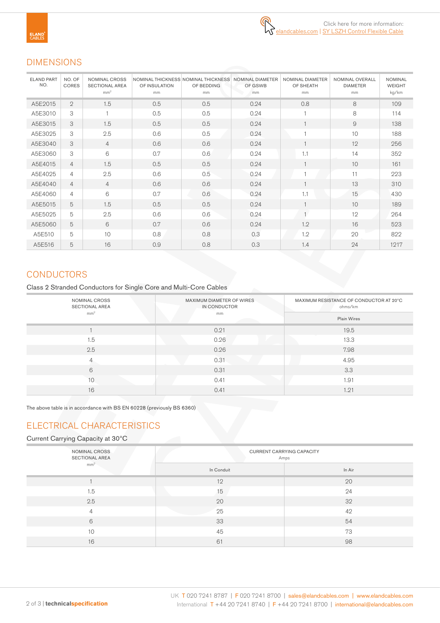### DIMENSIONS

| <b>ELAND PART</b><br>NO. | NO. OF<br><b>CORES</b> | <b>NOMINAL CROSS</b><br><b>SECTIONAL AREA</b><br>mm <sup>2</sup> | OF INSULATION<br>mm | NOMINAL THICKNESS NOMINAL THICKNESS<br>OF BEDDING<br>mm | <b>NOMINAL DIAMETER</b><br>OF GSWB<br>mm | NOMINAL DIAMETER<br>OF SHEATH<br>mm | NOMINAL OVERALL<br><b>DIAMETER</b><br>mm | <b>NOMINAL</b><br><b>WEIGHT</b><br>kg/km |
|--------------------------|------------------------|------------------------------------------------------------------|---------------------|---------------------------------------------------------|------------------------------------------|-------------------------------------|------------------------------------------|------------------------------------------|
| A5E2015                  | $\overline{2}$         | 1.5                                                              | 0.5                 | 0.5                                                     | 0.24                                     | 0.8                                 | 8                                        | 109                                      |
| A5E3010                  | 3                      | $\overline{1}$                                                   | 0.5                 | 0.5                                                     | 0.24                                     |                                     | 8                                        | 114                                      |
| A5E3015                  | 3                      | 1.5                                                              | 0.5                 | 0.5                                                     | 0.24                                     |                                     | 9                                        | 138                                      |
| A5E3025                  | 3                      | 2.5                                                              | 0.6                 | 0.5                                                     | 0.24                                     |                                     | 10                                       | 188                                      |
| A5E3040                  | 3                      | $\overline{4}$                                                   | 0.6                 | 0.6                                                     | 0.24                                     |                                     | 12                                       | 256                                      |
| A5E3060                  | 3                      | 6                                                                | 0.7                 | 0.6                                                     | 0.24                                     | 1.1                                 | 14                                       | 352                                      |
| A5E4015                  | $\overline{4}$         | 1.5                                                              | 0.5                 | 0.5                                                     | 0.24                                     | $\mathbf{1}$                        | 10                                       | 161                                      |
| A5E4025                  | 4                      | 2.5                                                              | 0.6                 | 0.5                                                     | 0.24                                     |                                     | 11                                       | 223                                      |
| A5E4040                  | $\overline{4}$         | $\overline{4}$                                                   | 0.6                 | 0.6                                                     | 0.24                                     | $\overline{1}$                      | 13                                       | 310                                      |
| A5E4060                  | $\overline{4}$         | 6                                                                | 0.7                 | 0.6                                                     | 0.24                                     | 1.1                                 | 15                                       | 430                                      |
| A5E5015                  | 5                      | 1.5                                                              | 0.5                 | 0.5                                                     | 0.24                                     |                                     | 10                                       | 189                                      |
| A5E5025                  | 5                      | 2.5                                                              | 0.6                 | 0.6                                                     | 0.24                                     | 1                                   | 12                                       | 264                                      |
| A5E5060                  | 5                      | 6                                                                | 0.7                 | 0.6                                                     | 0.24                                     | 1.2                                 | 16                                       | 523                                      |
| A5E510                   | 5                      | 10                                                               | 0.8                 | 0.8                                                     | 0.3                                      | 1.2                                 | 20                                       | 822                                      |
| A5E516                   | 5                      | 16                                                               | 0.9                 | 0.8                                                     | 0.3                                      | 1.4                                 | 24                                       | 1217                                     |

# **CONDUCTORS**

Class 2 Stranded Conductors for Single Core and Multi-Core Cables

| NOMINAL CROSS<br>SECTIONAL AREA | MAXIMUM DIAMETER OF WIRES<br>IN CONDUCTOR | MAXIMUM RESISTANCE OF CONDUCTOR AT 20°C<br>ohms/km<br>Plain Wires |  |  |
|---------------------------------|-------------------------------------------|-------------------------------------------------------------------|--|--|
| mm <sup>2</sup>                 | mm                                        |                                                                   |  |  |
|                                 | 0.21                                      | 19.5                                                              |  |  |
| 1.5                             | 0.26                                      | 13.3                                                              |  |  |
| 2.5                             | 0.26                                      | 7.98                                                              |  |  |
| $\overline{4}$                  | 0.31                                      | 4.95                                                              |  |  |
| 6                               | 0.31                                      | 3.3                                                               |  |  |
| 10                              | 0.41                                      | 1.91                                                              |  |  |
| 16                              | 0.41                                      | 1.21                                                              |  |  |

The above table is in accordance with BS EN 60228 (previously BS 6360)

# ELECTRICAL CHARACTERISTICS

### Current Carrying Capacity at 30ºC

| NOMINAL CROSS<br><b>SECTIONAL AREA</b> | <b>CURRENT CARRYING CAPACITY</b><br>Amps |        |  |  |  |
|----------------------------------------|------------------------------------------|--------|--|--|--|
| mm <sup>2</sup>                        | In Conduit                               | In Air |  |  |  |
|                                        | 12                                       | 20     |  |  |  |
| 1.5                                    | 15                                       | 24     |  |  |  |
| 2.5                                    | 20                                       | 32     |  |  |  |
| $\overline{4}$                         | 25                                       | 42     |  |  |  |
| 6                                      | 33                                       | 54     |  |  |  |
| 10                                     | 45                                       | 73     |  |  |  |
| 16                                     | 61                                       | 98     |  |  |  |